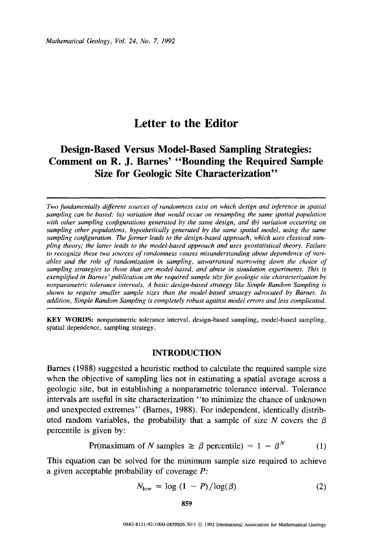# Letter to the Editor

# Design-Based Versus Model-Based Sampling Strategies: Comment on R. J. Barnes' "Bounding the Required Sample Size for Geologic Site Characterization"

*Two fundamentally different sources of randomness exist on which design and inference* in *spatial sampling can be based: (a) variation that would occur on resampling the same spatial population with other sampling configurations generated by the same design, and (b) variation occurring on sampling other populations, hypothetically generated by the same spatial model, using the same sampling configuration. The former leads to the design-based approach, which uses classical sampling theory; the latter leads to the model-based approach and uses geostatistical theory. Failure to recognize these two sources of randomness causes misunderstanding about dependence of variables and the role of randomization* in *sampling, unwarranted narrowing down the choice of sampling strategies to those that are model-based, and abuse in simulation experiments.* This *is exemplified in Barnes 'publication on the required sample size for geologic site characterization by nonparametric tolerance intervals. A basic design-based strategy like Simple Random Sampling is shown to require smaller sample sizes than the model-based strategy advocated by Barnes. In addition, Simple Random Sampling is completely robust against model errors and less complicated.* 

KEY WORDS: nonparametric tolerance interval, design-based sampling, model-based sampling, spatial dependence, sampling strategy.

#### INTRODUCTION

Barnes (1988) suggested a heuristic method to calculate the required sample size when the objective of sampling lies not in estimating a spatial average across a geologic site, but in establishing a nonparametric tolerance interval. Tolerance intervals are useful in site characterization ''to minimize the chance of unknown and unexpected extremes" (Barnes, 1988). For independent, identically distributed random variables, the probability that a sample of size  $N$  covers the  $\beta$ percentile is given by:

$$
Pr(maximum of N samples \ge \beta \text{ percentile}) = 1 - \beta^N \tag{1}
$$

This equation can be solved for the minimum sample size required to achieve a given acceptable probability of coverage P:

$$
N_{\text{low}} = \log (1 - P) / \log(\beta) \tag{2}
$$

859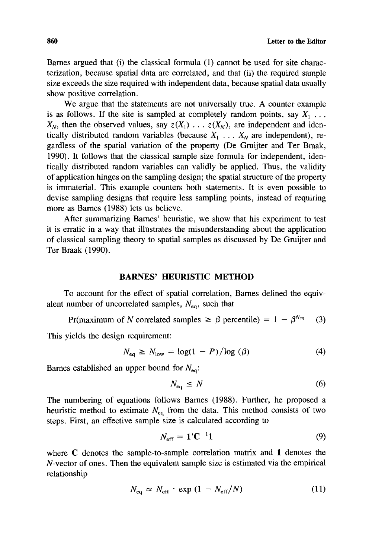Barnes argued that (i) the classical formula (1) cannot be used for site characterization, because spatial data are correlated, and that (ii) the required sample size exceeds the size required with independent data, because spatial data usually show positive correlation.

We argue that the statements are not universally true. A counter example is as follows. If the site is sampled at completely random points, say  $X_1 \ldots$  $X_N$ , then the observed values, say  $z(X_1) \ldots z(X_N)$ , are independent and identically distributed random variables (because  $X_1$ ...  $X_N$  are independent), regardless of the spatial variation of the property (De Gruijter and Ter Braak, 1990). It follows that the classical sample size formula for independent, identically distributed random variables can validly be applied. Thus, the validity of application hinges on the sampling design; the spatial structure of the property is immaterial. This example counters both statements. It is even possible to devise sampling designs that require less sampling points, instead of requiring more as Barnes (1988) lets us believe.

After summarizing Barnes' heuristic, we show that his experiment to test it is erratic in a way that illustrates the misunderstanding about the application of classical sampling theory to spatial samples as discussed by De Gruijter and Ter Braak (1990).

# **BARNES' HEURISTIC METHOD**

To account for the effect of spatial correlation, Barnes defined the equivalent number of uncorrelated samples,  $N_{eq}$ , such that

Pr(maximum of N correlated samples  $\geq \beta$  percentile) = 1 -  $\beta^{N_{eq}}$  (3)

This yields the design requirement:

$$
N_{\text{eq}} \ge N_{\text{low}} = \log(1 - P) / \log(\beta) \tag{4}
$$

Barnes established an upper bound for  $N_{eq}$ :

$$
N_{\text{eq}} \le N \tag{6}
$$

The numbering of equations follows Barnes (1988). Further, he proposed a heuristic method to estimate  $N_{eq}$  from the data. This method consists of two steps. First, an effective sample size is calculated according to

$$
N_{\rm eff} = 1' \mathbf{C}^{-1} \mathbf{1} \tag{9}
$$

where C denotes the sample-to-sample correlation matrix and **1** denotes the N-vector of ones. Then the equivalent sample size is estimated via the empirical relationship

$$
N_{\text{eq}} \approx N_{\text{eff}} \cdot \exp\left(1 - N_{\text{eff}}/N\right) \tag{11}
$$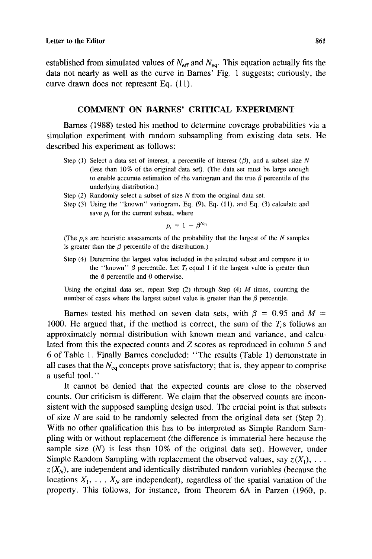established from simulated values of  $N_{\text{eff}}$  and  $N_{\text{eq}}$ . This equation actually fits the data not nearly as well as the curve in Barnes' Fig. 1 suggests; curiously, the curve drawn does not represent Eq. (11).

## COMMENT ON BARNES' CRITICAL EXPERIMENT

Barnes (1988) tested his method to determine coverage probabilities via a simulation experiment with random subsampling from existing data sets. He described his experiment as follows:

- Step (1) Select a data set of interest, a percentile of interest  $(\beta)$ , and a subset size N (less than 10% of the original data set). (The data set must be large enough to enable accurate estimation of the variogram and the true  $\beta$  percentile of the underlying distribution.)
- Step  $(2)$  Randomly select a subset of size N from the original data set.
- Step (3) Using the "known" variogram, Eq. (9), Eq. (II), and Eq. (3) calculate and save  $p_i$  for the current subset, where

$$
p_i = 1 - \beta^{N_{eq}}
$$

(The  $p_i$ s are heuristic assessments of the probability that the largest of the  $N$  samples is greater than the  $\beta$  percentile of the distribution.)

Step (4) Determine the largest value included in the selected subset and compare it to the "known"  $\beta$  percentile. Let  $T_i$  equal 1 if the largest value is greater than the  $\beta$  percentile and 0 otherwise.

Using the original data set, repeat Step  $(2)$  through Step  $(4)$  M times, counting the number of cases where the largest subset value is greater than the  $\beta$  percentile.

Barnes tested his method on seven data sets, with  $\beta = 0.95$  and  $M =$ 1000. He argued that, if the method is correct, the sum of the  $T<sub>i</sub>$ s follows an approximately normal distribution with known mean and variance, and calculated from this the expected counts and *Z* scores as reproduced in column 5 and 6 of Table 1. Finally Barnes concluded: "The results (Table 1) demonstrate in all cases that the  $N_{eq}$  concepts prove satisfactory; that is, they appear to comprise a useful tool."

It cannot be denied that the expected counts are close to the observed counts. Our criticism is different. We claim that the observed counts are inconsistent with the supposed sampling design used. The crucial point is that subsets of size N are said to be randomly selected from the original data set (Step 2). With no other qualification this has to be interpreted as Simple Random Sampling with or without replacement (the difference is immaterial here because the sample size  $(N)$  is less than 10% of the original data set). However, under Simple Random Sampling with replacement the observed values, say  $z(X_1), \ldots$  $z(X_N)$ , are independent and identically distributed random variables (because the locations  $X_1, \ldots, X_N$  are independent), regardless of the spatial variation of the property. This follows, for instance, from Theorem 6A in Parzen (1960, p.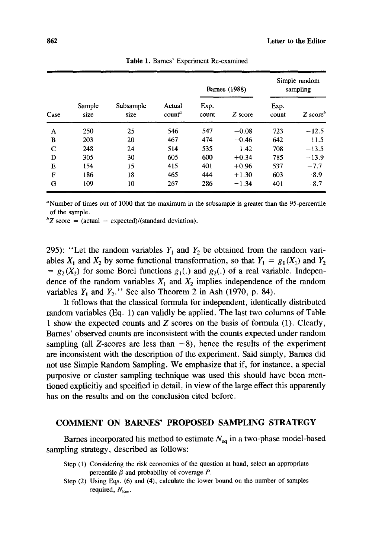| Case        | Sample<br>size | Subsample<br>size | Actual<br>count <sup>a</sup> | <b>Barnes</b> (1988) |         | Simple random<br>sampling |         |
|-------------|----------------|-------------------|------------------------------|----------------------|---------|---------------------------|---------|
|             |                |                   |                              | Exp.<br>count        | Z score | Exp.<br>count             | $Z\$    |
| A           | 250            | 25                | 546                          | 547                  | $-0.08$ | 723                       | $-12.5$ |
| B           | 203            | 20                | 467                          | 474                  | $-0.46$ | 642                       | $-11.5$ |
| $\mathbf C$ | 248            | 24                | 514                          | 535                  | $-1.42$ | 708                       | $-13.5$ |
| D           | 305            | 30                | 605                          | 600                  | $+0.34$ | 785                       | $-13.9$ |
| E           | 154            | 15                | 415                          | 401                  | $+0.96$ | 537                       | $-7.7$  |
| F           | 186            | 18                | 465                          | 444                  | $+1.30$ | 603                       | $-8.9$  |
| G           | 109            | 10                | 267                          | 286                  | $-1.34$ | 401                       | $-8.7$  |

Table 1. Barnes' Experiment Re-examined

<sup>a</sup>Number of times out of 1000 that the maximum in the subsample is greater than the 95-percentile of the sample.

 ${}^bZ$  score = (actual - expected)/(standard deviation).

295): "Let the random variables  $Y_1$  and  $Y_2$  be obtained from the random variables  $X_1$  and  $X_2$  by some functional transformation, so that  $Y_1 = g_1(X_1)$  and  $Y_2$  $= g<sub>2</sub>(X<sub>2</sub>)$  for some Borel functions  $g<sub>1</sub>(.)$  and  $g<sub>2</sub>(.)$  of a real variable. Independence of the random variables  $X_1$  and  $X_2$  implies independence of the random variables  $Y_1$  and  $Y_2$ ." See also Theorem 2 in Ash (1970, p. 84).

It follows that the classical formula for independent, identically distributed random variables (Eq. 1) can validly be applied. The last two columns of Table 1 show the expected counts and *Z* scores on the basis of formula (1). Clearly, Barnes' observed counts are inconsistent with the counts expected under random sampling (all Z-scores are less than  $-8$ ), hence the results of the experiment are inconsistent with the description of the experiment. Said simply, Barnes did not use Simple Random Sampling. We emphasize that if, for instance, a special purposive or cluster sampling technique was used this should have been mentioned explicitly and specified in detail, in view of the large effect this apparently has on the results and on the conclusion cited before.

#### COMMENT ON BARNES' **PROPOSED** SAMPLING STRATEGY

Barnes incorporated his method to estimate  $N_{eq}$  in a two-phase model-based sampling strategy, described as follows:

- Step (1) Considering the risk economics of the question at hand, select an appropriate percentile  $\beta$  and probability of coverage  $P$ .
- Step (2) Using Eqs. (6) and (4), calculate the lower bound on the number of samples required,  $N_{\text{low}}$ .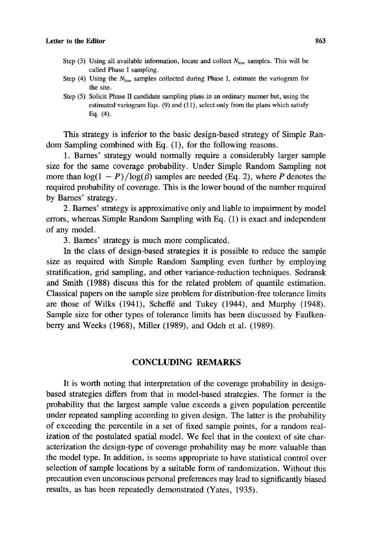- Step (3) Using all available information, locate and collect  $N_{\text{low}}$  samples. This will be called Phase I sampling.
- Step (4) Using the  $N_{\text{low}}$  samples collected during Phase I, estimate the variogram for the site.
- Step (5) Solicit Phase II candidate sampling plans in an ordinary manner but, using the estimated variogram Eqs. (9) and (11), select only from the plans which satisfy Eq. (4).

This strategy is inferior to the basic design-based strategy of Simple Random Sampling combined with Eq. (1), for the following reasons.

1. Barnes' strategy would normally require a considerably larger sample size for the same coverage probability. Under Simple Random Sampling not more than  $log(1 - P)/log(\beta)$  samples are needed (Eq. 2), where P denotes the required probability of coverage. This is the lower bound of the number required by Barnes' strategy.

2. Barnes' strategy is approximative only and liable to impairment by model errors, whereas Simple Random Sampling with Eq. (1) is exact and independent of any model.

3. Barnes' strategy is much more complicated.

In the class of design-based strategies it is possible to reduce the sample size as required with Simple Random Sampling even further by employing stratification, grid sampling, and other variance-reduction techniques. Sedransk and Smith (1988) discuss this for the related problem of quantile estimation. Classical papers on the sample size problem for distribution-free tolerance limits are those of Wilks (1941), Scheffe and Tukey (1944), and Murphy (1948). Sample size for other types of tolerance limits has been discussed by Faulkenberry and Weeks (1968), Miller (1989), and Odeh et al. (1989).

# **CONCLUDING REMARKS**

It is worth noting that interpretation of the coverage probability in designbased strategies differs from that in model-based strategies. The former is the probability that the largest sample value exceeds a given population percentile under repeated sampling according to given design. The latter is the probability of exceeding the percentile in a set of fixed sample points, for a random realization of the postulated spatial model. We feel that in the context of site characterization the design-type of coverage probability may be more valuable than the model type. In addition, is seems appropriate to have statistical control over selection of sample locations by a suitable form of randomization. Without this precaution even unconscious personal preferences may lead to significantly biased results, as has been repeatedly demonstrated (Yates, 1935).